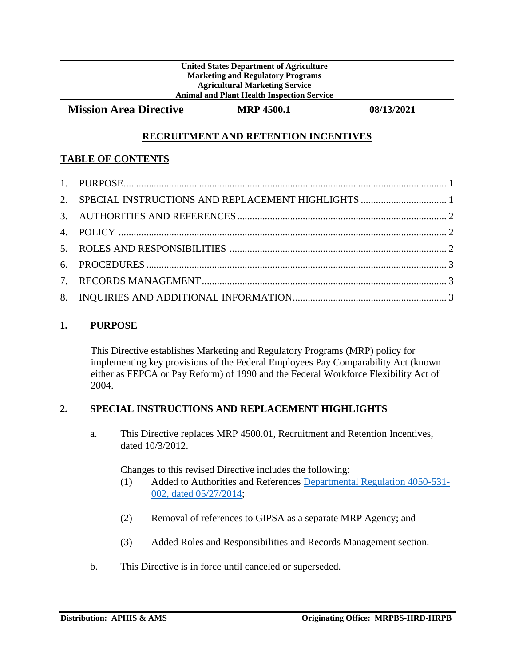#### **United States Department of Agriculture Marketing and Regulatory Programs Agricultural Marketing Service Animal and Plant Health Inspection Service**

**Mission Area Directive MRP 4500.1 08/13/2021** 

# **RECRUITMENT AND RETENTION INCENTIVES**

# **TABLE OF CONTENTS**

## <span id="page-0-0"></span>**1. PURPOSE**

This Directive establishes Marketing and Regulatory Programs (MRP) policy for implementing key provisions of the Federal Employees Pay Comparability Act (known either as FEPCA or Pay Reform) of 1990 and the Federal Workforce Flexibility Act of 2004.

## <span id="page-0-1"></span>**2. SPECIAL INSTRUCTIONS AND REPLACEMENT HIGHLIGHTS**

a. This Directive replaces MRP 4500.01, Recruitment and Retention Incentives, dated 10/3/2012.

Changes to this revised Directive includes the following:

- (1) Added to Authorities and References [Departmental Regulation 4050-531-](https://www.ocio.usda.gov/document/departmental-regulation-4050-531-002) [002, dated 05/27/2014;](https://www.ocio.usda.gov/document/departmental-regulation-4050-531-002)
- (2) Removal of references to GIPSA as a separate MRP Agency; and
- (3) Added Roles and Responsibilities and Records Management section.
- b. This Directive is in force until canceled or superseded.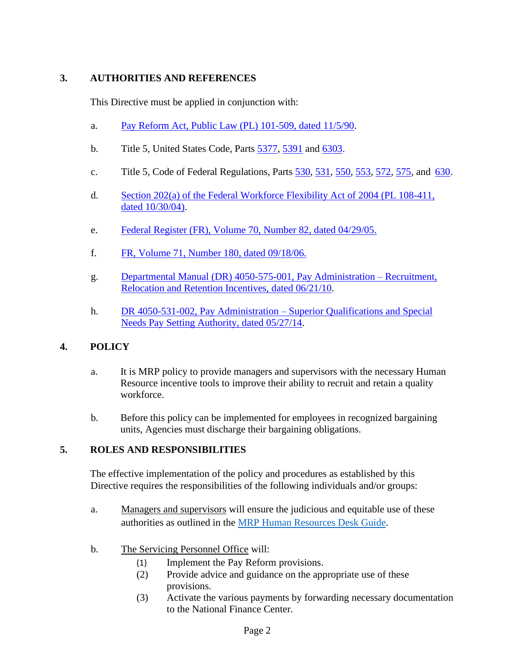# <span id="page-1-0"></span>**3. AUTHORITIES AND REFERENCES**

This Directive must be applied in conjunction with:

- a. Pay Reform Act, Public [Law \(PL\) 101-509,](https://www.gpo.gov/fdsys/pkg/STATUTE-104/pdf/STATUTE-104-Pg1389.pdf) dated 11/5/90.
- b. Title 5, United States Code, Parts [5377,](https://www.govinfo.gov/content/pkg/USCODE-2009-title5/html/USCODE-2009-title5-partIII-subpartD-chap53-subchapVII-sec5377.htm) [5391](https://www.govinfo.gov/content/pkg/USCODE-2019-title5/html/USCODE-2019-title5-partIII-subpartD-chap53-subchapIX-sec5391.htm) and [6303.](https://www.govinfo.gov/content/pkg/USCODE-2019-title5/html/USCODE-2019-title5-partIII-subpartE-chap63-subchapI-sec6303.htm)
- c. Title 5, Code of Federal Regulations, Parts [530,](https://www.ecfr.gov/cgi-bin/text-idx?SID=af18580d13bc981ffcb1150c867304fa&mc=true&node=pt5.1.530&rgn=div5) [531,](https://www.ecfr.gov/cgi-bin/text-idx?SID=af18580d13bc981ffcb1150c867304fa&mc=true&node=pt5.1.531&rgn=div5) [550,](https://www.ecfr.gov/cgi-bin/text-idx?SID=af18580d13bc981ffcb1150c867304fa&mc=true&node=pt5.1.550&rgn=div5) [553,](https://www.ecfr.gov/cgi-bin/text-idx?SID=af18580d13bc981ffcb1150c867304fa&mc=true&node=pt5.1.553&rgn=div5) [572,](https://www.ecfr.gov/cgi-bin/text-idx?SID=af18580d13bc981ffcb1150c867304fa&mc=true&node=pt5.1.572&rgn=div5) [575,](https://www.ecfr.gov/cgi-bin/text-idx?SID=af18580d13bc981ffcb1150c867304fa&mc=true&node=pt5.1.575&rgn=div5) and [630.](https://www.ecfr.gov/cgi-bin/text-idx?SID=af18580d13bc981ffcb1150c867304fa&mc=true&node=pt5.1.630&rgn=div5)
- d. Section 202(a) of the Federal [Workforce](https://www.gpo.gov/fdsys/pkg/PLAW-108publ411/html/PLAW-108publ411.htm) Flexibility Act of 2004 (PL 108-411, dated [10/30/04\).](https://www.gpo.gov/fdsys/pkg/PLAW-108publ411/html/PLAW-108publ411.htm)
- e. Federal Register (FR), Volume [70, Number 82, dated 04/29/05.](https://www.gpo.gov/fdsys/pkg/FR-2005-04-29/pdf/05-8574.pdf)
- f. FR, [Volume 71, Number](https://www.gpo.gov/fdsys/pkg/FR-2006-09-18/pdf/06-7722.pdf) 180, dated 09/18/06.
- g. Departmental [Manual \(DR\) 4050-575-001,](https://www.ocio.usda.gov/sites/default/files/docs/2012/DM4050-575-001%5B1%5D_0.pdf) Pay Administration Recruitment, Relocation and Retention Incentives, [dated 06/21/10.](https://www.ocio.usda.gov/sites/default/files/docs/2012/DM4050-575-001%5B1%5D_0.pdf)
- h. [DR 4050-531-002, Pay Administration –](https://www.ocio.usda.gov/sites/default/files/docs/2012/DR%204050-531-002%20Superior%20Qualification_0.pdf) Superior Qualifications and Special [Needs Pay Setting Authority, dated 05/27/14.](https://www.ocio.usda.gov/sites/default/files/docs/2012/DR%204050-531-002%20Superior%20Qualification_0.pdf)

# <span id="page-1-1"></span>**4. POLICY**

- a. It is MRP policy to provide managers and supervisors with the necessary Human Resource incentive tools to improve their ability to recruit and retain a quality workforce.
- b. Before this policy can be implemented for employees in recognized bargaining units, Agencies must discharge their bargaining obligations.

## <span id="page-1-2"></span>**5. ROLES AND RESPONSIBILITIES**

The effective implementation of the policy and procedures as established by this Directive requires the responsibilities of the following individuals and/or groups:

- a. Managers and supervisors will ensure the judicious and equitable use of these authorities as outlined in the [MRP Human Resources Desk Guide.](https://www.aphis.usda.gov/aphis/ourfocus/business-services/forms_publications/hr_desk_guide/hrdg_4500/4500_sec_a#spo)
- b. The Servicing Personnel Office will:
	- (1) Implement the Pay Reform provisions.
	- (2) Provide advice and guidance on the appropriate use of these provisions.
	- (3) Activate the various payments by forwarding necessary documentation to the National Finance Center.